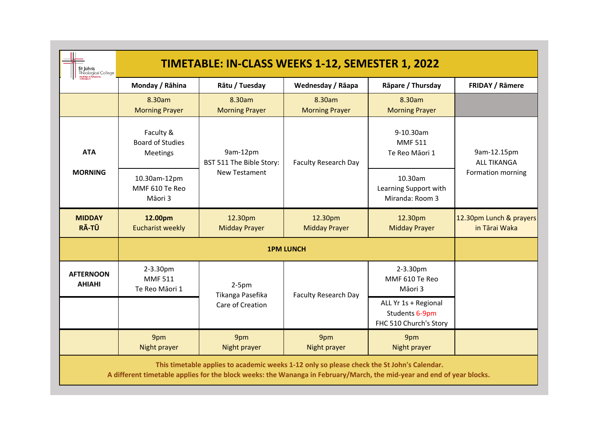| St John's<br>Theological College                                                                                                                                                                                     | <b>TIMETABLE: IN-CLASS WEEKS 1-12, SEMESTER 1, 2022</b> |                                                              |                                 |                                                                  |                                                        |  |  |
|----------------------------------------------------------------------------------------------------------------------------------------------------------------------------------------------------------------------|---------------------------------------------------------|--------------------------------------------------------------|---------------------------------|------------------------------------------------------------------|--------------------------------------------------------|--|--|
|                                                                                                                                                                                                                      | Monday / Rāhina                                         | Rātu / Tuesday                                               | Wednesday / Rāapa               | Rāpare / Thursday                                                | <b>FRIDAY / Rāmere</b>                                 |  |  |
|                                                                                                                                                                                                                      | 8.30am<br><b>Morning Prayer</b>                         | 8.30am<br><b>Morning Prayer</b>                              | 8.30am<br><b>Morning Prayer</b> | 8.30am<br><b>Morning Prayer</b>                                  |                                                        |  |  |
| <b>ATA</b><br><b>MORNING</b>                                                                                                                                                                                         | Faculty &<br><b>Board of Studies</b><br>Meetings        | 9am-12pm<br>BST 511 The Bible Story:<br><b>New Testament</b> | <b>Faculty Research Day</b>     | 9-10.30am<br><b>MMF511</b><br>Te Reo Māori 1                     | 9am-12.15pm<br><b>ALL TIKANGA</b><br>Formation morning |  |  |
|                                                                                                                                                                                                                      | 10.30am-12pm<br>MMF 610 Te Reo<br>Māori 3               |                                                              |                                 | 10.30am<br>Learning Support with<br>Miranda: Room 3              |                                                        |  |  |
| <b>MIDDAY</b><br>RĀ-TŪ                                                                                                                                                                                               | 12.00pm<br><b>Eucharist weekly</b>                      | 12.30pm<br><b>Midday Prayer</b>                              | 12.30pm<br><b>Midday Prayer</b> | 12.30pm<br><b>Midday Prayer</b>                                  | 12.30pm Lunch & prayers<br>in Tārai Waka               |  |  |
|                                                                                                                                                                                                                      |                                                         |                                                              |                                 |                                                                  |                                                        |  |  |
| <b>AFTERNOON</b><br><b>AHIAHI</b>                                                                                                                                                                                    | 2-3.30pm<br><b>MMF511</b><br>Te Reo Māori 1             | $2-5pm$<br>Tikanga Pasefika                                  | <b>Faculty Research Day</b>     | 2-3.30pm<br>MMF 610 Te Reo<br>Māori 3                            |                                                        |  |  |
|                                                                                                                                                                                                                      |                                                         | Care of Creation                                             |                                 | ALL Yr 1s + Regional<br>Students 6-9pm<br>FHC 510 Church's Story |                                                        |  |  |
|                                                                                                                                                                                                                      | 9pm<br>Night prayer                                     | 9pm<br>Night prayer                                          | 9pm<br>Night prayer             | 9pm<br>Night prayer                                              |                                                        |  |  |
| This timetable applies to academic weeks 1-12 only so please check the St John's Calendar.<br>A different timetable applies for the block weeks: the Wananga in February/March, the mid-year and end of year blocks. |                                                         |                                                              |                                 |                                                                  |                                                        |  |  |